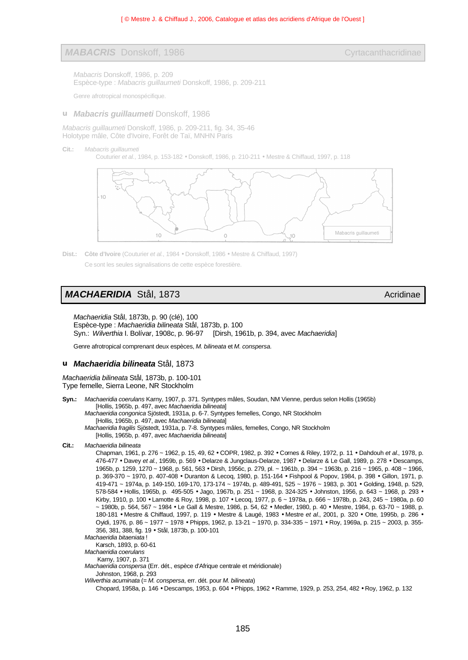### *MABACRIS* Donskoff, 1986 Cyrtacanthacridinae

*Mabacris* Donskoff, 1986, p. 209 Espèce-type : *Mabacris guillaumeti* Donskoff, 1986, p. 209-211

Genre afrotropical monospécifique.

**u** *Mabacris guillaumeti* Donskoff, 1986

*Mabacris guillaumeti* Donskoff, 1986, p. 209-211, fig. 34, 35-46 Holotype mâle, Côte d'Ivoire, Forêt de Taï, MNHN Paris

**Cit.:** *Mabacris guillaumeti*

Couturier *et al.*, 1984, p. 153-182 • Donskoff, 1986, p. 210-211 • Mestre & Chiffaud, 1997, p. 118



**Dist.: Côte d'Ivoire** (Couturier *et al.*, 1984 • Donskoff, 1986 • Mestre & Chiffaud, 1997) Ce sont les seules signalisations de cette espèce forestière.

# *MACHAERIDIA* Stål, 1873 Acridinae Acridinae Acridinae Acridinae Acridinae Acridinae Acridinae Acridinae Acridinae

*Machaeridia* Stål, 1873b, p. 90 (clé), 100 Espèce-type : *Machaeridia bilineata* Stål, 1873b, p. 100 Syn.: *Wilverthia* I. Bolívar, 1908c, p. 96-97 [Dirsh, 1961b, p. 394, avec *Machaeridia*]

Genre afrotropical comprenant deux espèces, *M. bilineata* et *M. conspersa*.

#### **u** *Machaeridia bilineata* Stål, 1873

*Machaeridia bilineata* Stål, 1873b, p. 100-101 Type femelle, Sierra Leone, NR Stockholm

**Syn.:** *Machaeridia coerulans* Karny, 1907, p. 371. Syntypes mâles, Soudan, NM Vienne, perdus selon Hollis (1965b) [Hollis, 1965b, p. 497, avec *Machaeridia bilineata*] *Machaeridia congonica* Sjöstedt, 1931a, p. 6-7. Syntypes femelles, Congo, NR Stockholm [Hollis, 1965b, p. 497, avec *Machaeridia bilineata*] *Machaeridia fragilis* Sjöstedt, 1931a, p. 7-8. Syntypes mâles, femelles, Congo, NR Stockholm [Hollis, 1965b, p. 497, avec *Machaeridia bilineata*] **Cit.:** *Machaeridia bilineata* Chapman, 1961, p. 276 ~ 1962, p. 15, 49, 62 • COPR, 1982, p. 392 • Cornes & Riley, 1972, p. 11 • Dahdouh *et al*., 1978, p.

476-477 • Davey *et al.*, 1959b, p. 569 • Delarze & Jungclaus-Delarze, 1987 • Delarze & Le Gall, 1989, p. 278 • Descamps, 1965b, p. 1259, 1270 ~ 1968, p. 561, 563 • Dirsh, 1956c, p. 279, pl. ~ 1961b, p. 394 ~ 1963b, p. 216 ~ 1965, p. 408 ~ 1966, p. 369-370 ~ 1970, p. 407-408 • Duranton & Lecoq, 1980, p. 151-164 • Fishpool & Popov, 1984, p. 398 • Gillon, 1971, p. 419-471 ~ 1974a, p. 149-150, 169-170, 173-174 ~ 1974b, p. 489-491, 525 ~ 1976 ~ 1983, p. 301 • Golding, 1948, p. 529, 578-584 • Hollis, 1965b, p. 495-505 • Jago, 1967b, p. 251 ~ 1968, p. 324-325 • Johnston, 1956, p. 643 ~ 1968, p. 293 • Kirby, 1910, p. 100 • Lamotte & Roy, 1998, p. 107 • Lecoq, 1977, p. 6 ~ 1978a, p. 666 ~ 1978b, p. 243, 245 ~ 1980a, p. 60 ~ 1980b, p. 564, 567 ~ 1984 • Le Gall & Mestre, 1986, p. 54, 62 • Medler, 1980, p. 40 • Mestre, 1984, p. 63-70 ~ 1988, p. 180-181 • Mestre & Chiffaud, 1997, p. 119 • Mestre & Laugé, 1983 • Mestre *et al*., 2001, p. 320 • Otte, 1995b, p. 286 • Oyidi, 1976, p. 86 ~ 1977 ~ 1978 • Phipps, 1962, p. 13-21 ~ 1970, p. 334-335 ~ 1971 • Roy, 1969a, p. 215 ~ 2003, p. 355- 356, 381, 388, fig. 19 • Stål, 1873b, p. 100-101

*Machaeridia bitaeniata* !

Karsch, 1893, p. 60-61

*Machaeridia coerulans*

Karny, 1907, p. 371

*Machaeridia conspersa* (Err. dét., espèce d'Afrique centrale et méridionale) Johnston, 1968, p. 293

*Wilverthia acuminata* (= *M. conspersa*, err. dét. pour *M. bilineata*)

Chopard, 1958a, p. 146 • Descamps, 1953, p. 604 • Phipps, 1962 • Ramme, 1929, p. 253, 254, 482 • Roy, 1962, p. 132